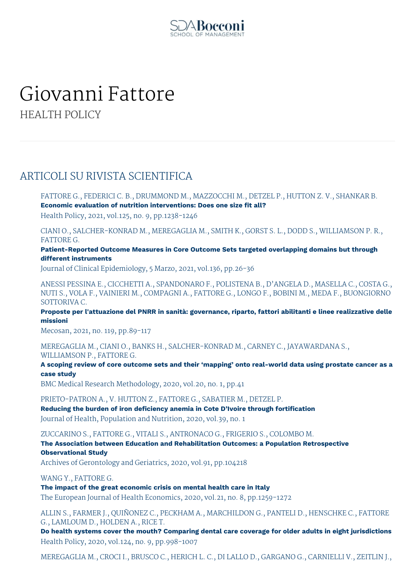

# Giovanni Fattore

HEALTH POLICY

# ARTICOLI SU RIVISTA SCIENTIFICA

FATTORE G., FEDERICI C. B., DRUMMOND M., MAZZOCCHI M., DETZEL P., HUTTON Z. V., SHANKAR B. **Economic evaluation of nutrition interventions: Does one size fit all?** Health Policy, 2021, vol.125, no. 9, pp.1238-1246

CIANI O., SALCHER-KONRAD M., MEREGAGLIA M., SMITH K., GORST S. L., DODD S., WILLIAMSON P. R., FATTORE G.

**Patient-Reported Outcome Measures in Core Outcome Sets targeted overlapping domains but through different instruments**

Journal of Clinical Epidemiology, 5 Marzo, 2021, vol.136, pp.26-36

ANESSI PESSINA E., CICCHETTI A., SPANDONARO F., POLISTENA B., D'ANGELA D., MASELLA C., COSTA G., NUTI S., VOLA F., VAINIERI M., COMPAGNI A., FATTORE G., LONGO F., BOBINI M., MEDA F., BUONGIORNO SOTTORIVA C.

**Proposte per l'attuazione del PNRR in sanità: governance, riparto, fattori abilitanti e linee realizzative delle missioni**

Mecosan, 2021, no. 119, pp.89-117

MEREGAGLIA M., CIANI O., BANKS H., SALCHER-KONRAD M., CARNEY C., JAYAWARDANA S., WILLIAMSON P., FATTORE G.

A scoping review of core outcome sets and their 'mapping' onto real-world data using prostate cancer as a **case study**

BMC Medical Research Methodology, 2020, vol.20, no. 1, pp.41

PRIETO-PATRON A., V. HUTTON Z., FATTORE G., SABATIER M., DETZEL P. **Reducing the burden of iron deficiency anemia in Cote D'Ivoire through fortification** Journal of Health, Population and Nutrition, 2020, vol.39, no. 1

ZUCCARINO S., FATTORE G., VITALI S., ANTRONACO G., FRIGERIO S., COLOMBO M.

**The Association between Education and Rehabilitation Outcomes: a Population Retrospective Observational Study**

Archives of Gerontology and Geriatrics, 2020, vol.91, pp.104218

WANG Y., FATTORE G.

**The impact of the great economic crisis on mental health care in Italy**

The European Journal of Health Economics, 2020, vol.21, no. 8, pp.1259-1272

ALLIN S., FARMER J., QUIÑONEZ C., PECKHAM A., MARCHILDON G., PANTELI D., HENSCHKE C., FATTORE G., LAMLOUM D., HOLDEN A., RICE T.

**Do health systems cover the mouth? Comparing dental care coverage for older adults in eight jurisdictions** Health Policy, 2020, vol.124, no. 9, pp.998-1007

MEREGAGLIA M., CROCI I., BRUSCO C., HERICH L. C., DI LALLO D., GARGANO G., CARNIELLI V., ZEITLIN J.,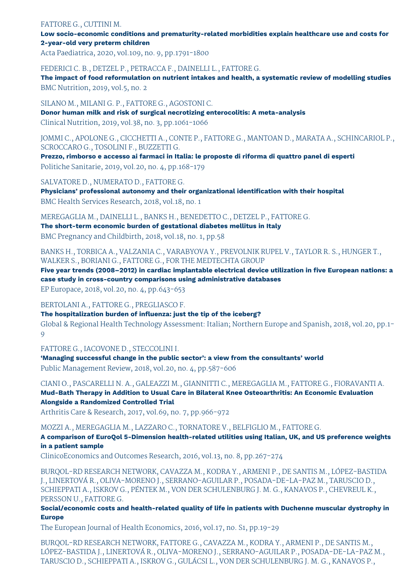### FATTORE G., CUTTINI M.

## **Low socio-economic conditions and prematurity-related morbidities explain healthcare use and costs for 2-year-old very preterm children**

Acta Paediatrica, 2020, vol.109, no. 9, pp.1791-1800

FEDERICI C. B., DETZEL P., PETRACCA F., DAINELLI L., FATTORE G.

**The impact of food reformulation on nutrient intakes and health, a systematic review of modelling studies** BMC Nutrition, 2019, vol.5, no. 2

SILANO M., MILANI G. P., FATTORE G., AGOSTONI C.

**Donor human milk and risk of surgical necrotizing enterocolitis: A meta-analysis** Clinical Nutrition, 2019, vol.38, no. 3, pp.1061-1066

JOMMI C., APOLONE G., CICCHETTI A., CONTE P., FATTORE G., MANTOAN D., MARATA A., SCHINCARIOL P., SCROCCARO G., TOSOLINI F., BUZZETTI G.

**Prezzo, rimborso e accesso ai farmaci in Italia: le proposte di riforma di quattro panel di esperti** Politiche Sanitarie, 2019, vol.20, no. 4, pp.168-179

SALVATORE D., NUMERATO D., FATTORE G.

**Physicians' professional autonomy and their organizational identification with their hospital** BMC Health Services Research, 2018, vol.18, no. 1

MEREGAGLIA M., DAINELLI L., BANKS H., BENEDETTO C., DETZEL P., FATTORE G.

**The short-term economic burden of gestational diabetes mellitus in Italy** BMC Pregnancy and Childbirth, 2018, vol.18, no. 1, pp.58

BANKS H., TORBICA A., VALZANIA C., VARABYOVA Y., PREVOLNIK RUPEL V., TAYLOR R. S., HUNGER T., WALKER S., BORIANI G., FATTORE G., FOR THE MEDTECHTA GROUP

**Five year trends (2008–2012) in cardiac implantable electrical device utilization in five European nations: a case study in cross-country comparisons using administrative databases**

EP Europace, 2018, vol.20, no. 4, pp.643-653

BERTOLANI A., FATTORE G., PREGLIASCO F.

**The hospitalization burden of influenza: just the tip of the iceberg?**

Global & Regional Health Technology Assessment: Italian; Northern Europe and Spanish, 2018, vol.20, pp.1- 9

FATTORE G., IACOVONE D., STECCOLINI I.

**'Managing successful change in the public sector': a view from the consultants' world** Public Management Review, 2018, vol.20, no. 4, pp.587-606

CIANI O., PASCARELLI N. A., GALEAZZI M., GIANNITTI C., MEREGAGLIA M., FATTORE G., FIORAVANTI A. **Mud-Bath Therapy in Addition to Usual Care in Bilateral Knee Osteoarthritis: An Economic Evaluation Alongside a Randomized Controlled Trial**

Arthritis Care & Research, 2017, vol.69, no. 7, pp.966-972

MOZZI A., MEREGAGLIA M., LAZZARO C., TORNATORE V., BELFIGLIO M., FATTORE G.

**A comparison of EuroQol 5-Dimension health-related utilities using Italian, UK, and US preference weights in a patient sample**

ClinicoEconomics and Outcomes Research, 2016, vol.13, no. 8, pp.267-274

BURQOL-RD RESEARCH NETWORK, CAVAZZA M., KODRA Y., ARMENI P., DE SANTIS M., LÓPEZ-BASTIDA J., LINERTOVÁ R., OLIVA-MORENO J., SERRANO-AGUILAR P., POSADA-DE-LA-PAZ M., TARUSCIO D., SCHIEPPATI A., ISKROV G., PÉNTEK M., VON DER SCHULENBURG J. M. G., KANAVOS P., CHEVREUL K., PERSSON U., FATTORE G.

**Social/economic costs and health-related quality of life in patients with Duchenne muscular dystrophy in Europe**

The European Journal of Health Economics, 2016, vol.17, no. S1, pp.19-29

BURQOL-RD RESEARCH NETWORK, FATTORE G., CAVAZZA M., KODRA Y., ARMENI P., DE SANTIS M., LÓPEZ-BASTIDA J., LINERTOVÁ R., OLIVA-MORENO J., SERRANO-AGUILAR P., POSADA-DE-LA-PAZ M., TARUSCIO D., SCHIEPPATI A., ISKROV G., GULÁCSI L., VON DER SCHULENBURG J. M. G., KANAVOS P.,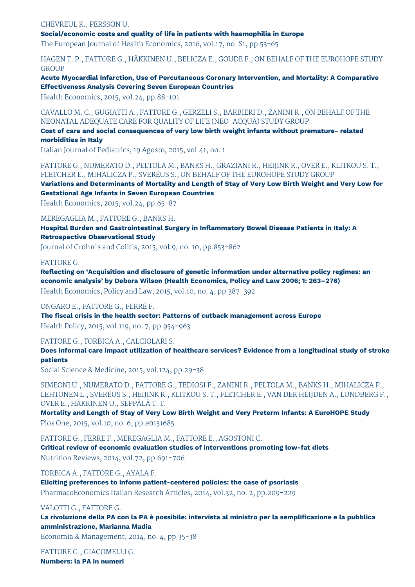#### CHEVREUL K., PERSSON U.

**Social/economic costs and quality of life in patients with haemophilia in Europe**

The European Journal of Health Economics, 2016, vol.17, no. S1, pp.53-65

# HAGEN T. P., FATTORE G., HÄKKINEN U., BELICZA E., GOUDE F., ON BEHALF OF THE EUROHOPE STUDY GROUP

**Acute Myocardial Infarction, Use of Percutaneous Coronary Intervention, and Mortality: A Comparative Effectiveness Analysis Covering Seven European Countries**

Health Economics, 2015, vol.24, pp.88-101

CAVALLO M. C., GUGIATTI A., FATTORE G., GERZELI S., BARBIERI D., ZANINI R., ON BEHALF OF THE NEONATAL ADEQUATE CARE FOR QUALITY OF LIFE (NEO-ACQUA) STUDY GROUP

#### **Cost of care and social consequences of very low birth weight infants without premature- related morbidities in Italy**

Italian Journal of Pediatrics, 19 Agosto, 2015, vol.41, no. 1

FATTORE G., NUMERATO D., PELTOLA M., BANKS H., GRAZIANI R., HEIJINK R., OVER E., KLITKOU S. T., FLETCHER E., MIHALICZA P., SVERÉUS S., ON BEHALF OF THE EUROHOPE STUDY GROUP

Variations and Determinants of Mortality and Length of Stay of Very Low Birth Weight and Very Low for **Gestational Age Infants in Seven European Countries**

Health Economics, 2015, vol.24, pp.65-87

# MEREGAGLIA M., FATTORE G., BANKS H.

**Hospital Burden and Gastrointestinal Surgery in Inflammatory Bowel Disease Patients in Italy: A Retrospective Observational Study**

Journal of Crohn's and Colitis, 2015, vol.9, no. 10, pp.853-862

### FATTORE G.

**Reflecting on 'Acquisition and disclosure of genetic information under alternative policy regimes: an economic analysis' by Debora Wilson (Health Economics, Policy and Law 2006; 1: 263–276)** Health Economics, Policy and Law, 2015, vol.10, no. 4, pp.387-392

ONGARO E., FATTORE G., FERRÉ F. **The fiscal crisis in the health sector: Patterns of cutback management across Europe**

Health Policy, 2015, vol.119, no. 7, pp.954-963

#### FATTORE G., TORBICA A., CALCIOLARI S.

**Does informal care impact utilization of healthcare services? Evidence from a longitudinal study of stroke patients**

Social Science & Medicine, 2015, vol.124, pp.29-38

SIMEONI U., NUMERATO D., FATTORE G., TEDIOSI F., ZANINI R., PELTOLA M., BANKS H., MIHALICZA P., LEHTONEN L., SVERÉUS S., HEIJINK R., KLITKOU S. T., FLETCHER E., VAN DER HEIJDEN A., LUNDBERG F., OVER E., HÄKKINEN U., SEPPÄLÄ T. T.

**Mortality and Length of Stay of Very Low Birth Weight and Very Preterm Infants: A EuroHOPE Study** Plos One, 2015, vol.10, no. 6, pp.e0131685

FATTORE G., FERRE F., MEREGAGLIA M., FATTORE E., AGOSTONI C.

**Critical review of economic evaluation studies of interventions promoting low-fat diets** Nutrition Reviews, 2014, vol.72, pp.691-706

TORBICA A., FATTORE G., AYALA F.

**Eliciting preferences to inform patient-centered policies: the case of psoriasis** PharmacoEconomics Italian Research Articles, 2014, vol.32, no. 2, pp.209-229

#### VALOTTI G., FATTORE G.

La rivoluzione della PA con la PA è possibile: intervista al ministro per la semplificazione e la pubblica **amministrazione, Marianna Madia**

Economia & Management, 2014, no. 4, pp.35-38

FATTORE G., GIACOMELLI G. **Numbers: la PA in numeri**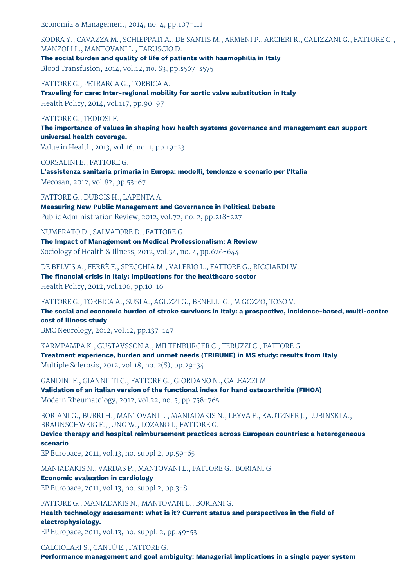Economia & Management, 2014, no. 4, pp.107-111

KODRA Y., CAVAZZA M., SCHIEPPATI A., DE SANTIS M., ARMENI P., ARCIERI R., CALIZZANI G., FATTORE G., MANZOLI L., MANTOVANI L., TARUSCIO D. **The social burden and quality of life of patients with haemophilia in Italy**

Blood Transfusion, 2014, vol.12, no. S3, pp.s567-s575

FATTORE G., PETRARCA G., TORBICA A. **Traveling for care: Inter-regional mobility for aortic valve substitution in Italy** Health Policy, 2014, vol.117, pp.90-97

### FATTORE G., TEDIOSI F.

**The importance of values in shaping how health systems governance and management can support universal health coverage.**

Value in Health, 2013, vol.16, no. 1, pp.19-23

CORSALINI E., FATTORE G.

**L'assistenza sanitaria primaria in Europa: modelli, tendenze e scenario per l'Italia** Mecosan, 2012, vol.82, pp.53-67

FATTORE G., DUBOIS H., LAPENTA A. **Measuring New Public Management and Governance in Political Debate** Public Administration Review, 2012, vol.72, no. 2, pp.218-227

NUMERATO D., SALVATORE D., FATTORE G.

**The Impact of Management on Medical Professionalism: A Review** Sociology of Health & Illness, 2012, vol.34, no. 4, pp.626-644

DE BELVIS A., FERRÈ F., SPECCHIA M., VALERIO L., FATTORE G., RICCIARDI W. **The financial crisis in Italy: Implications for the healthcare sector**

Health Policy, 2012, vol.106, pp.10-16

FATTORE G., TORBICA A., SUSI A., AGUZZI G., BENELLI G., M GOZZO, TOSO V. **The social and economic burden of stroke survivors in Italy: a prospective, incidence-based, multi-centre cost of illness study**

BMC Neurology, 2012, vol.12, pp.137-147

KARMPAMPA K., GUSTAVSSON A., MILTENBURGER C., TERUZZI C., FATTORE G. **Treatment experience, burden and unmet needs (TRIBUNE) in MS study: results from Italy** Multiple Sclerosis, 2012, vol.18, no. 2(S), pp.29-34

GANDINI F., GIANNITTI C., FATTORE G., GIORDANO N., GALEAZZI M. **Validation of an italian version of the functional index for hand osteoarthritis (FIHOA)** Modern Rheumatology, 2012, vol.22, no. 5, pp.758-765

BORIANI G., BURRI H., MANTOVANI L., MANIADAKIS N., LEYVA F., KAUTZNER J., LUBINSKI A., BRAUNSCHWEIG F., JUNG W., LOZANO I., FATTORE G.

**Device therapy and hospital reimbursement practices across European countries: a heterogeneous scenario**

EP Europace, 2011, vol.13, no. suppl 2, pp.59-65

MANIADAKIS N., VARDAS P., MANTOVANI L., FATTORE G., BORIANI G.

**Economic evaluation in cardiology** EP Europace, 2011, vol.13, no. suppl 2, pp.3-8

FATTORE G., MANIADAKIS N., MANTOVANI L., BORIANI G. **Health technology assessment: what is it? Current status and perspectives in the field of electrophysiology.**

EP Europace, 2011, vol.13, no. suppl. 2, pp.49-53

CALCIOLARI S., CANTÙ E., FATTORE G.

**Performance management and goal ambiguity: Managerial implications in a single payer system**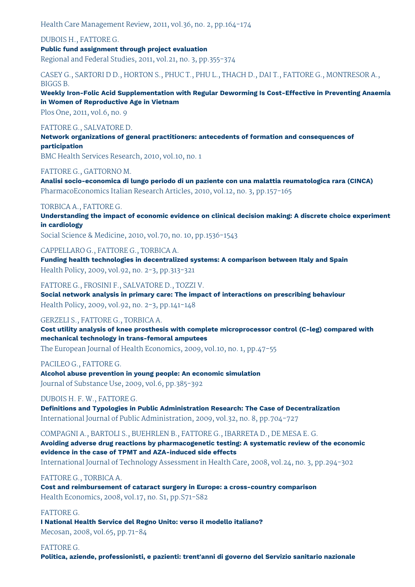Health Care Management Review, 2011, vol.36, no. 2, pp.164-174

DUBOIS H., FATTORE G. **Public fund assignment through project evaluation** Regional and Federal Studies, 2011, vol.21, no. 3, pp.355-374

CASEY G., SARTORI D D., HORTON S., PHUC T., PHU L., THACH D., DAI T., FATTORE G., MONTRESOR A., BIGGS B.

**Weekly Iron-Folic Acid Supplementation with Regular Deworming Is Cost-Effective in Preventing Anaemia in Women of Reproductive Age in Vietnam**

Plos One, 2011, vol.6, no. 9

# FATTORE G., SALVATORE D.

**Network organizations of general practitioners: antecedents of formation and consequences of participation**

BMC Health Services Research, 2010, vol.10, no. 1

### FATTORE G., GATTORNO M.

**Analisi socio-economica di lungo periodo di un paziente con una malattia reumatologica rara (CINCA)** PharmacoEconomics Italian Research Articles, 2010, vol.12, no. 3, pp.157-165

# TORBICA A., FATTORE G.

**Understanding the impact of economic evidence on clinical decision making: A discrete choice experiment in cardiology**

Social Science & Medicine, 2010, vol.70, no. 10, pp.1536-1543

# CAPPELLARO G., FATTORE G., TORBICA A.

**Funding health technologies in decentralized systems: A comparison between Italy and Spain** Health Policy, 2009, vol.92, no. 2-3, pp.313-321

FATTORE G., FROSINI F., SALVATORE D., TOZZI V.

**Social network analysis in primary care: The impact of interactions on prescribing behaviour** Health Policy, 2009, vol.92, no. 2-3, pp.141-148

## GERZELI S., FATTORE G., TORBICA A.

**Cost utility analysis of knee prosthesis with complete microprocessor control (C-leg) compared with mechanical technology in trans-femoral amputees**

The European Journal of Health Economics, 2009, vol.10, no. 1, pp.47-55

# PACILEO G., FATTORE G.

**Alcohol abuse prevention in young people: An economic simulation** Journal of Substance Use, 2009, vol.6, pp.385-392

DUBOIS H. F. W., FATTORE G.

**Definitions and Typologies in Public Administration Research: The Case of Decentralization** International Journal of Public Administration, 2009, vol.32, no. 8, pp.704-727

COMPAGNI A., BARTOLI S., BUEHRLEN B., FATTORE G., IBARRETA D., DE MESA E. G. **Avoiding adverse drug reactions by pharmacogenetic testing: A systematic review of the economic evidence in the case of TPMT and AZA-induced side effects**

International Journal of Technology Assessment in Health Care, 2008, vol.24, no. 3, pp.294-302

FATTORE G., TORBICA A.

**Cost and reimbursement of cataract surgery in Europe: a cross-country comparison** Health Economics, 2008, vol.17, no. S1, pp.S71-S82

### FATTORE G.

**I National Health Service del Regno Unito: verso il modello italiano?** Mecosan, 2008, vol.65, pp.71-84

FATTORE G. **Politica, aziende, professionisti, e pazienti: trent'anni di governo del Servizio sanitario nazionale**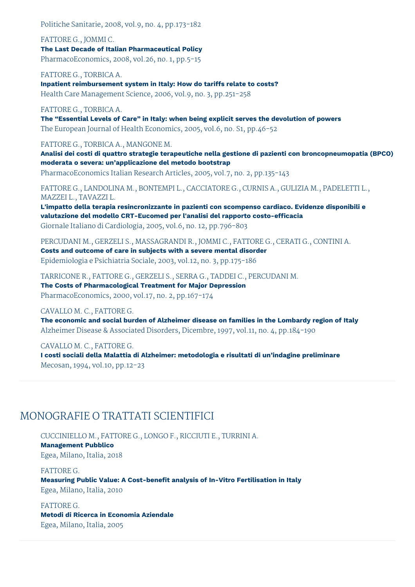Politiche Sanitarie, 2008, vol.9, no. 4, pp.173-182

FATTORE G., JOMMI C. **The Last Decade of Italian Pharmaceutical Policy** PharmacoEconomics, 2008, vol.26, no. 1, pp.5-15

FATTORE G., TORBICA A. **Inpatient reimbursement system in Italy: How do tariffs relate to costs?** Health Care Management Science, 2006, vol.9, no. 3, pp.251-258

FATTORE G., TORBICA A.

**The "Essential Levels of Care" in Italy: when being explicit serves the devolution of powers** The European Journal of Health Economics, 2005, vol.6, no. S1, pp.46-52

FATTORE G., TORBICA A., MANGONE M.

**Analisi dei costi di quattro strategie terapeutiche nella gestione di pazienti con broncopneumopatia (BPCO) moderata o severa: un'applicazione del metodo bootstrap**

PharmacoEconomics Italian Research Articles, 2005, vol.7, no. 2, pp.135-143

FATTORE G., LANDOLINA M., BONTEMPI L., CACCIATORE G., CURNIS A., GULIZIA M., PADELETTI L., MAZZEI L., TAVAZZI L.

**L'impatto della terapia resincronizzante in pazienti con scompenso cardiaco. Evidenze disponibili e valutazione del modello CRT-Eucomed per l'analisi del rapporto costo-efficacia** Giornale Italiano di Cardiologia, 2005, vol.6, no. 12, pp.796-803

PERCUDANI M., GERZELI S., MASSAGRANDI R., JOMMI C., FATTORE G., CERATI G., CONTINI A.

**Costs and outcome of care in subjects with a severe mental disorder** Epidemiologia e Psichiatria Sociale, 2003, vol.12, no. 3, pp.175-186

TARRICONE R., FATTORE G., GERZELI S., SERRA G., TADDEI C., PERCUDANI M. **The Costs of Pharmacological Treatment for Major Depression** PharmacoEconomics, 2000, vol.17, no. 2, pp.167-174

CAVALLO M. C., FATTORE G.

**The economic and social burden of Alzheimer disease on families in the Lombardy region of Italy** Alzheimer Disease & Associated Disorders, Dicembre, 1997, vol.11, no. 4, pp.184-190

CAVALLO M. C., FATTORE G.

**I costi sociali della Malattia di Alzheimer: metodologia e risultati di un'indagine preliminare** Mecosan, 1994, vol.10, pp.12-23

# MONOGRAFIE O TRATTATI SCIENTIFICI

CUCCINIELLO M., FATTORE G., LONGO F., RICCIUTI E., TURRINI A. **Management Pubblico** Egea, Milano, Italia, 2018

FATTORE G. **Measuring Public Value: A Cost-benefit analysis of In-Vitro Fertilisation in Italy** Egea, Milano, Italia, 2010

FATTORE G. **Metodi di Ricerca in Economia Aziendale** Egea, Milano, Italia, 2005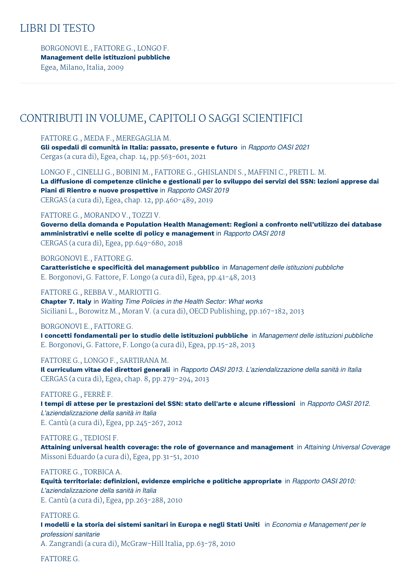# LIBRI DI TESTO

BORGONOVI E., FATTORE G., LONGO F. **Management delle istituzioni pubbliche** Egea, Milano, Italia, 2009

# CONTRIBUTI IN VOLUME, CAPITOLI O SAGGI SCIENTIFICI

FATTORE G., MEDA F., MEREGAGLIA M. **Gli ospedali di comunità in Italia: passato, presente e futuro** in *Rapporto OASI 2021* Cergas (a cura di), Egea, chap. 14, pp.563-601, 2021

LONGO F., CINELLI G., BOBINI M., FATTORE G., GHISLANDI S., MAFFINI C., PRETI L. M. La diffusione di competenze cliniche e gestionali per lo sviluppo dei servizi del SSN: lezioni apprese dai **Piani di Rientro e nuove prospettive** in *Rapporto OASI 2019* CERGAS (a cura di), Egea, chap. 12, pp.460-489, 2019

# FATTORE G., MORANDO V., TOZZI V.

**Governo della domanda e Population Health Management: Regioni a confronto nell'utilizzo dei database amministrativi e nelle scelte di policy e management** in *Rapporto OASI 2018* CERGAS (a cura di), Egea, pp.649-680, 2018

#### BORGONOVI E., FATTORE G.

**Caratteristiche e specificità del management pubblico** in *Management delle istituzioni pubbliche* E. Borgonovi, G. Fattore, F. Longo (a cura di), Egea, pp.41-48, 2013

#### FATTORE G., REBBA V., MARIOTTI G.

**Chapter 7. Italy** in *Waiting Time Policies in the Health Sector: What works* Siciliani L., Borowitz M., Moran V. (a cura di), OECD Publishing, pp.167-182, 2013

### BORGONOVI E., FATTORE G.

**I concetti fondamentali per lo studio delle istituzioni pubbliche** in *Management delle istituzioni pubbliche* E. Borgonovi, G. Fattore, F. Longo (a cura di), Egea, pp.15-28, 2013

### FATTORE G., LONGO F., SARTIRANA M.

**Il curriculum vitae dei direttori generali** in *Rapporto OASI 2013. L'aziendalizzazione della sanità in Italia* CERGAS (a cura di), Egea, chap. 8, pp.279-294, 2013

# FATTORE G., FERRÈ F.

**I tempi di attese per le prestazioni del SSN: stato dell'arte e alcune riflessioni** in *Rapporto OASI 2012. L'aziendalizzazione della sanità in Italia* E. Cantù (a cura di), Egea, pp.245-267, 2012

### FATTORE G., TEDIOSI F.

**Attaining universal health coverage: the role of governance and management** in *Attaining Universal Coverage* Missoni Eduardo (a cura di), Egea, pp.31-51, 2010

# FATTORE G., TORBICA A.

**Equità territoriale: definizioni, evidenze empiriche e politiche appropriate** in *Rapporto OASI 2010: L'aziendalizzazione della sanità in Italia* E. Cantù (a cura di), Egea, pp.263-288, 2010

#### FATTORE G.

I modelli e la storia dei sistemi sanitari in Europa e negli Stati Uniti in Economia e Management per le *professioni sanitarie*

A. Zangrandi (a cura di), McGraw-Hill Italia, pp.63-78, 2010

FATTORE G.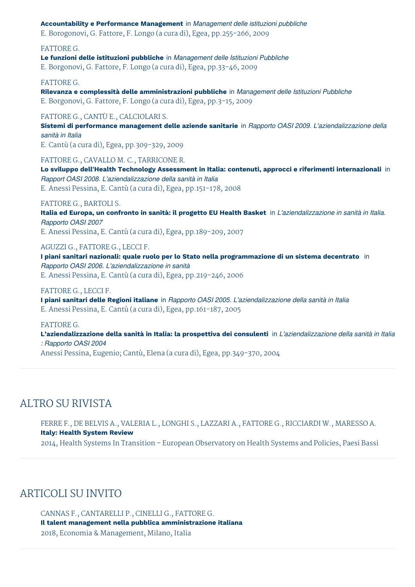**Accountability e Performance Management** in *Management delle istituzioni pubbliche*

E. Borogonovi, G. Fattore, F. Longo (a cura di), Egea, pp.255-266, 2009

FATTORE G.

**Le funzioni delle istituzioni pubbliche** in *Management delle Istituzioni Pubbliche* E. Borgonovi, G. Fattore, F. Longo (a cura di), Egea, pp.33-46, 2009

### FATTORE G.

**Rilevanza e complessità delle amministrazioni pubbliche** in *Management delle Istituzioni Pubbliche* E. Borgonovi, G. Fattore, F. Longo (a cura di), Egea, pp.3-15, 2009

#### FATTORE G., CANTÙ E., CALCIOLARI S.

**Sistemi di performance management delle aziende sanitarie** in *Rapporto OASI 2009. L'aziendalizzazione della sanità in Italia*

E. Cantù (a cura di), Egea, pp.309-329, 2009

FATTORE G., CAVALLO M. C., TARRICONE R.

**Lo sviluppo dell'Health Technology Assessment in Italia: contenuti, approcci e riferimenti internazionali** in *Rapport OASI 2008. L'aziendalizzazione della sanità in Italia* E. Anessi Pessina, E. Cantù (a cura di), Egea, pp.151-178, 2008

#### FATTORE G., BARTOLI S.

Italia ed Europa, un confronto in sanità: il progetto EU Health Basket in L'aziendalizzazione in sanità in Italia. *Rapporto OASI 2007*

E. Anessi Pessina, E. Cantù (a cura di), Egea, pp.189-209, 2007

### AGUZZI G., FATTORE G., LECCI F.

**I piani sanitari nazionali: quale ruolo per lo Stato nella programmazione di un sistema decentrato** in *Rapporto OASI 2006. L'aziendalizzazione in sanità* E. Anessi Pessina, E. Cantù (a cura di), Egea, pp.219-246, 2006

### FATTORE G., LECCI F.

**I piani sanitari delle Regioni italiane** in *Rapporto OASI 2005. L'aziendalizzazione della sanità in Italia* E. Anessi Pessina, E. Cantù (a cura di), Egea, pp.161-187, 2005

#### FATTORE G.

**L'aziendalizzazione della sanità in Italia: la prospettiva dei consulenti** in *L'aziendalizzazione della sanità in Italia : Rapporto OASI 2004*

Anessi Pessina, Eugenio; Cantù, Elena (a cura di), Egea, pp.349-370, 2004

# ALTRO SU RIVISTA

FERRE F., DE BELVIS A., VALERIA L., LONGHI S., LAZZARI A., FATTORE G., RICCIARDI W., MARESSO A. **Italy: Health System Review** 2014, Health Systems In Transition - European Observatory on Health Systems and Policies, Paesi Bassi

# ARTICOLI SU INVITO

CANNAS F., CANTARELLI P., CINELLI G., FATTORE G. **Il talent management nella pubblica amministrazione italiana** 2018, Economia & Management, Milano, Italia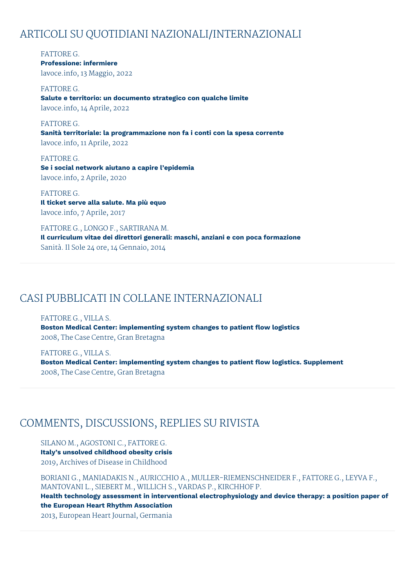# ARTICOLI SU QUOTIDIANI NAZIONALI/INTERNAZIONALI

FATTORE G. **Professione: infermiere** lavoce.info, 13 Maggio, 2022

FATTORE G. **Salute e territorio: un documento strategico con qualche limite** lavoce.info, 14 Aprile, 2022

FATTORE G. **Sanità territoriale: la programmazione non fa i conti con la spesa corrente** lavoce.info, 11 Aprile, 2022

FATTORE G. **Se i social network aiutano a capire l'epidemia** lavoce.info, 2 Aprile, 2020

FATTORE G. **Il ticket serve alla salute. Ma più equo** lavoce.info, 7 Aprile, 2017

FATTORE G., LONGO F., SARTIRANA M. **Il curriculum vitae dei direttori generali: maschi, anziani e con poca formazione** Sanità. Il Sole 24 ore, 14 Gennaio, 2014

# CASI PUBBLICATI IN COLLANE INTERNAZIONALI

FATTORE G., VILLA S. **Boston Medical Center: implementing system changes to patient flow logistics** 2008, The Case Centre, Gran Bretagna

FATTORE G., VILLA S. **Boston Medical Center: implementing system changes to patient flow logistics. Supplement** 2008, The Case Centre, Gran Bretagna

# COMMENTS, DISCUSSIONS, REPLIES SU RIVISTA

SILANO M., AGOSTONI C., FATTORE G. **Italy's unsolved childhood obesity crisis** 2019, Archives of Disease in Childhood

BORIANI G., MANIADAKIS N., AURICCHIO A., MULLER-RIEMENSCHNEIDER F., FATTORE G., LEYVA F., MANTOVANI L., SIEBERT M., WILLICH S., VARDAS P., KIRCHHOF P.

**Health technology assessment in interventional electrophysiology and device therapy: a position paper of the European Heart Rhythm Association**

2013, European Heart Journal, Germania